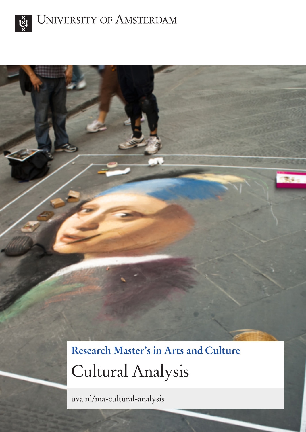

**Research Master's in Arts and Culture** Cultural Analysis

uva.nl/ma-cultural-analysis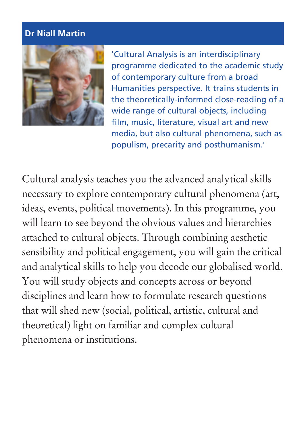## **Dr Niall Martin**



'Cultural Analysis is an interdisciplinary programme dedicated to the academic study of contemporary culture from a broad Humanities perspective. It trains students in the theoretically-informed close-reading of a wide range of cultural objects, including film, music, literature, visual art and new media, but also cultural phenomena, such as populism, precarity and posthumanism.'

Cultural analysis teaches you the advanced analytical skills necessary to explore contemporary cultural phenomena (art, ideas, events, political movements). In this programme, you will learn to see beyond the obvious values and hierarchies attached to cultural objects. Through combining aesthetic sensibility and political engagement, you will gain the critical and analytical skills to help you decode our globalised world. You will study objects and concepts across or beyond disciplines and learn how to formulate research questions that will shed new (social, political, artistic, cultural and theoretical) light on familiar and complex cultural phenomena or institutions.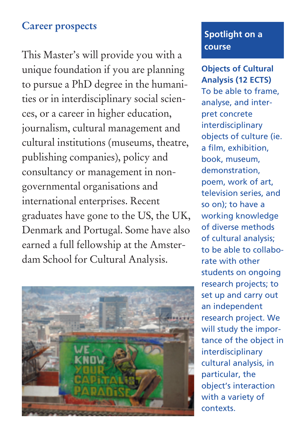# **Career prospects**

This Master's will provide you with a unique foundation if you are planning to pursue a PhD degree in the humanities or in interdisciplinary social sciences, or a career in higher education, journalism, cultural management and cultural institutions (museums, theatre, publishing companies), policy and consultancy or management in nongovernmental organisations and international enterprises. Recent graduates have gone to the US, the UK, Denmark and Portugal. Some have also earned a full fellowship at the Amsterdam School for Cultural Analysis.



### **Spotlight on a course**

**Objects of Cultural Analysis (12 ECTS)** To be able to frame, analyse, and interpret concrete interdisciplinary objects of culture (ie. a film, exhibition, book, museum, demonstration, poem, work of art, television series, and so on); to have a working knowledge of diverse methods of cultural analysis; to be able to collaborate with other students on ongoing research projects; to set up and carry out an independent research project. We will study the importance of the object in interdisciplinary cultural analysis, in particular, the object's interaction with a variety of contexts.